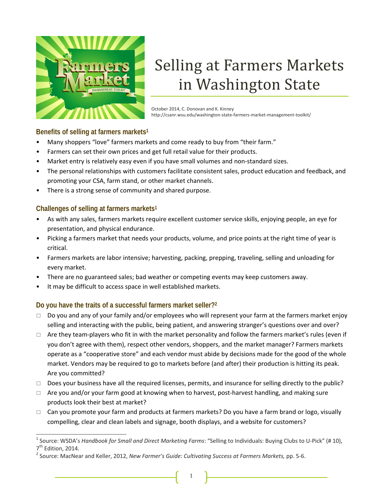

# Selling at Farmers Markets in Washington State

October 2014, C. Donovan and K. Kinney http://csanr.wsu.edu/washington‐state‐farmers‐market‐management‐toolkit/

## **Benefits of selling at farmers markets1**

- Many shoppers "love" farmers markets and come ready to buy from "their farm."
- Farmers can set their own prices and get full retail value for their products.
- Market entry is relatively easy even if you have small volumes and non-standard sizes.
- The personal relationships with customers facilitate consistent sales, product education and feedback, and promoting your CSA, farm stand, or other market channels.
- There is a strong sense of community and shared purpose.

# **Challenges of selling at farmers markets1**

- As with any sales, farmers markets require excellent customer service skills, enjoying people, an eye for presentation, and physical endurance.
- Picking a farmers market that needs your products, volume, and price points at the right time of year is critical.
- Farmers markets are labor intensive; harvesting, packing, prepping, traveling, selling and unloading for every market.
- There are no guaranteed sales; bad weather or competing events may keep customers away.
- It may be difficult to access space in well established markets.

# **Do you have the traits of a successful farmers market seller?2**

- $\Box$  Do you and any of your family and/or employees who will represent your farm at the farmers market enjoy selling and interacting with the public, being patient, and answering stranger's questions over and over?
- $\Box$  Are they team-players who fit in with the market personality and follow the farmers market's rules (even if you don't agree with them), respect other vendors, shoppers, and the market manager? Farmers markets operate as a "cooperative store" and each vendor must abide by decisions made for the good of the whole market. Vendors may be required to go to markets before (and after) their production is hitting its peak. Are you committed?
- $\Box$  Does your business have all the required licenses, permits, and insurance for selling directly to the public?
- $\Box$  Are you and/or your farm good at knowing when to harvest, post-harvest handling, and making sure products look their best at market?
- $\Box$  Can you promote your farm and products at farmers markets? Do you have a farm brand or logo, visually compelling, clear and clean labels and signage, booth displays, and a website for customers?

 <sup>1</sup> Source: WSDA's *Handbook for Small and Direct Marketing Farms*: "Selling to Individuals: Buying Clubs to <sup>U</sup>‐Pick" (# 10),

<sup>7</sup>th Edition, 2014. <sup>2</sup> Source: MacNear and Keller, 2012, *New Farmer's Guide: Cultivating Success at Farmers Markets,* pp. <sup>5</sup>‐6.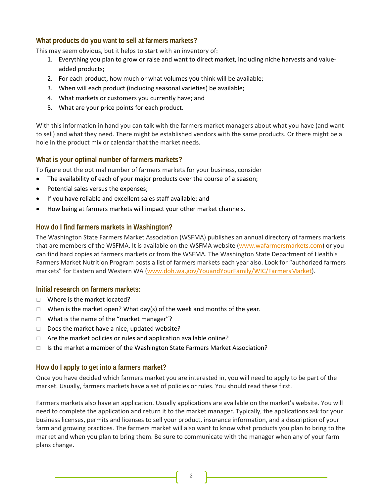#### **What products do you want to sell at farmers markets?**

This may seem obvious, but it helps to start with an inventory of:

- 1. Everything you plan to grow or raise and want to direct market, including niche harvests and value‐ added products;
- 2. For each product, how much or what volumes you think will be available;
- 3. When will each product (including seasonal varieties) be available;
- 4. What markets or customers you currently have; and
- 5. What are your price points for each product.

With this information in hand you can talk with the farmers market managers about what you have (and want to sell) and what they need. There might be established vendors with the same products. Or there might be a hole in the product mix or calendar that the market needs.

#### **What is your optimal number of farmers markets?**

To figure out the optimal number of farmers markets for your business, consider

- The availability of each of your major products over the course of a season;
- Potential sales versus the expenses;
- If you have reliable and excellent sales staff available; and
- How being at farmers markets will impact your other market channels.

#### **How do I find farmers markets in Washington?**

The Washington State Farmers Market Association (WSFMA) publishes an annual directory of farmers markets that are members of the WSFMA. It is available on the WSFMA website (www.wafarmersmarkets.com) or you can find hard copies at farmers markets or from the WSFMA. The Washington State Department of Health's Farmers Market Nutrition Program posts a list of farmers markets each year also. Look for "authorized farmers markets" for Eastern and Western WA (www.doh.wa.gov/YouandYourFamily/WIC/FarmersMarket).

#### **Initial research on farmers markets:**

- □ Where is the market located?
- $\Box$  When is the market open? What day(s) of the week and months of the year.
- $\Box$  What is the name of the "market manager"?
- $\Box$  Does the market have a nice, updated website?
- $\Box$  Are the market policies or rules and application available online?
- $\Box$  Is the market a member of the Washington State Farmers Market Association?

#### **How do I apply to get into a farmers market?**

Once you have decided which farmers market you are interested in, you will need to apply to be part of the market. Usually, farmers markets have a set of policies or rules. You should read these first.

Farmers markets also have an application. Usually applications are available on the market's website. You will need to complete the application and return it to the market manager. Typically, the applications ask for your business licenses, permits and licenses to sell your product, insurance information, and a description of your farm and growing practices. The farmers market will also want to know what products you plan to bring to the market and when you plan to bring them. Be sure to communicate with the manager when any of your farm plans change.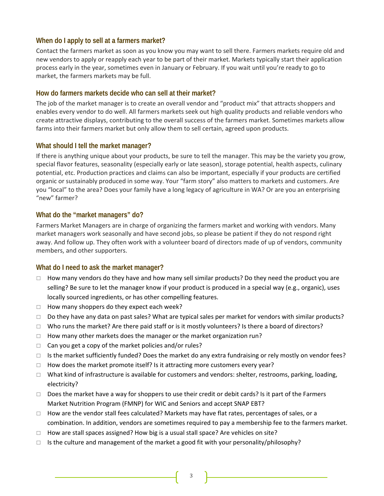#### **When do I apply to sell at a farmers market?**

Contact the farmers market as soon as you know you may want to sell there. Farmers markets require old and new vendors to apply or reapply each year to be part of their market. Markets typically start their application process early in the year, sometimes even in January or February. If you wait until you're ready to go to market, the farmers markets may be full.

#### **How do farmers markets decide who can sell at their market?**

The job of the market manager is to create an overall vendor and "product mix" that attracts shoppers and enables every vendor to do well. All farmers markets seek out high quality products and reliable vendors who create attractive displays, contributing to the overall success of the farmers market. Sometimes markets allow farms into their farmers market but only allow them to sell certain, agreed upon products.

#### **What should I tell the market manager?**

If there is anything unique about your products, be sure to tell the manager. This may be the variety you grow, special flavor features, seasonality (especially early or late season), storage potential, health aspects, culinary potential, etc. Production practices and claims can also be important, especially if your products are certified organic or sustainably produced in some way. Your "farm story" also matters to markets and customers. Are you "local" to the area? Does your family have a long legacy of agriculture in WA? Or are you an enterprising "new" farmer?

#### **What do the "market managers" do?**

Farmers Market Managers are in charge of organizing the farmers market and working with vendors. Many market managers work seasonally and have second jobs, so please be patient if they do not respond right away. And follow up. They often work with a volunteer board of directors made of up of vendors, community members, and other supporters.

#### **What do I need to ask the market manager?**

- $\Box$  How many vendors do they have and how many sell similar products? Do they need the product you are selling? Be sure to let the manager know if your product is produced in a special way (e.g., organic), uses locally sourced ingredients, or has other compelling features.
- $\Box$  How many shoppers do they expect each week?
- $\Box$  Do they have any data on past sales? What are typical sales per market for vendors with similar products?
- $\Box$  Who runs the market? Are there paid staff or is it mostly volunteers? Is there a board of directors?
- $\Box$  How many other markets does the manager or the market organization run?
- $\Box$  Can you get a copy of the market policies and/or rules?
- $\Box$  Is the market sufficiently funded? Does the market do any extra fundraising or rely mostly on vendor fees?
- $\Box$  How does the market promote itself? Is it attracting more customers every year?
- □ What kind of infrastructure is available for customers and vendors: shelter, restrooms, parking, loading, electricity?
- $\Box$  Does the market have a way for shoppers to use their credit or debit cards? Is it part of the Farmers Market Nutrition Program (FMNP) for WIC and Seniors and accept SNAP EBT?
- $\Box$  How are the vendor stall fees calculated? Markets may have flat rates, percentages of sales, or a combination. In addition, vendors are sometimes required to pay a membership fee to the farmers market.
- $\Box$  How are stall spaces assigned? How big is a usual stall space? Are vehicles on site?
- $\Box$  Is the culture and management of the market a good fit with your personality/philosophy?